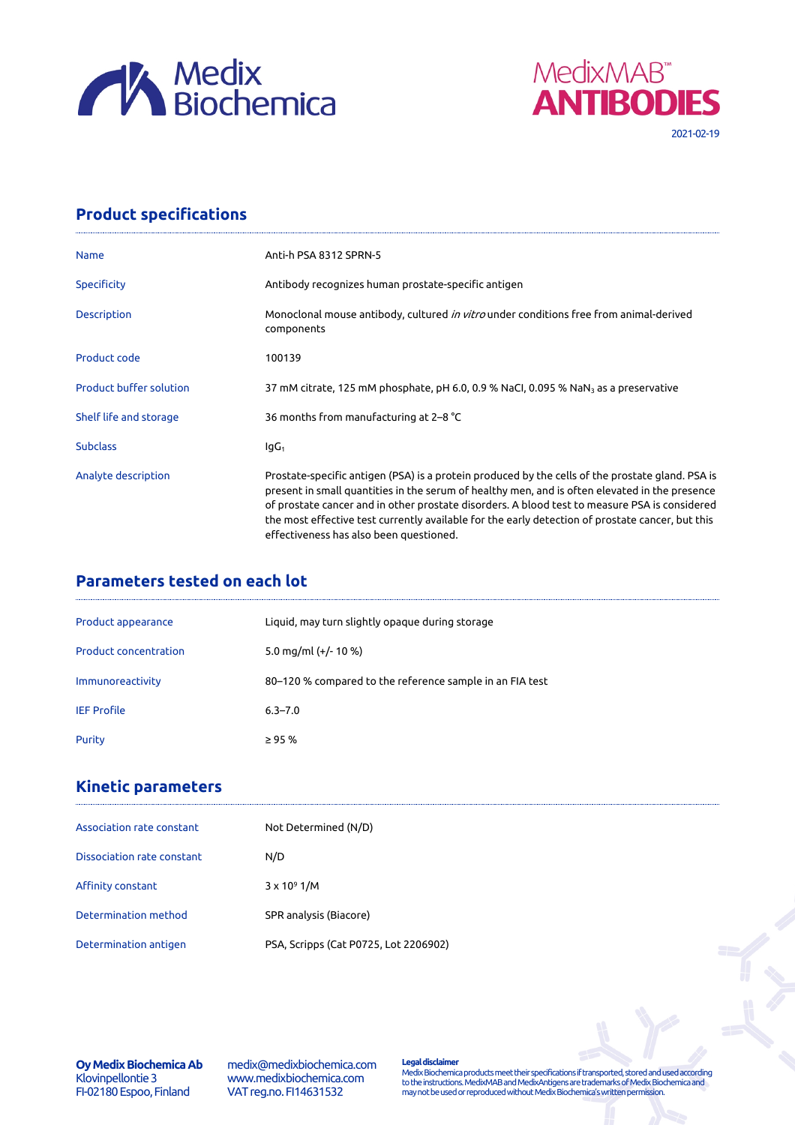



## **Product specifications**

| <b>Name</b>                    | Anti-h PSA 8312 SPRN-5                                                                                                                                                                                                                                                                                                                                                                                                                             |  |
|--------------------------------|----------------------------------------------------------------------------------------------------------------------------------------------------------------------------------------------------------------------------------------------------------------------------------------------------------------------------------------------------------------------------------------------------------------------------------------------------|--|
| Specificity                    | Antibody recognizes human prostate-specific antigen                                                                                                                                                                                                                                                                                                                                                                                                |  |
| <b>Description</b>             | Monoclonal mouse antibody, cultured <i>in vitro</i> under conditions free from animal-derived<br>components                                                                                                                                                                                                                                                                                                                                        |  |
| Product code                   | 100139                                                                                                                                                                                                                                                                                                                                                                                                                                             |  |
| <b>Product buffer solution</b> | 37 mM citrate, 125 mM phosphate, pH 6.0, 0.9 % NaCl, 0.095 % NaN <sub>3</sub> as a preservative                                                                                                                                                                                                                                                                                                                                                    |  |
| Shelf life and storage         | 36 months from manufacturing at 2–8 °C                                                                                                                                                                                                                                                                                                                                                                                                             |  |
| <b>Subclass</b>                | $IqG_1$                                                                                                                                                                                                                                                                                                                                                                                                                                            |  |
| Analyte description            | Prostate-specific antigen (PSA) is a protein produced by the cells of the prostate gland. PSA is<br>present in small quantities in the serum of healthy men, and is often elevated in the presence<br>of prostate cancer and in other prostate disorders. A blood test to measure PSA is considered<br>the most effective test currently available for the early detection of prostate cancer, but this<br>effectiveness has also been questioned. |  |

# **Parameters tested on each lot**

| Product appearance           | Liquid, may turn slightly opaque during storage          |
|------------------------------|----------------------------------------------------------|
| <b>Product concentration</b> | 5.0 mg/ml $(+/- 10 %$                                    |
| Immunoreactivity             | 80-120 % compared to the reference sample in an FIA test |
| <b>IEF Profile</b>           | $6.3 - 7.0$                                              |
| Purity                       | $\geq 95 \%$                                             |

### **Kinetic parameters**

| Association rate constant  | Not Determined (N/D)                  |
|----------------------------|---------------------------------------|
| Dissociation rate constant | N/D                                   |
| Affinity constant          | $3 \times 10^9$ 1/M                   |
| Determination method       | SPR analysis (Biacore)                |
| Determination antigen      | PSA, Scripps (Cat P0725, Lot 2206902) |

**Oy Medix Biochemica Ab** Klovinpellontie 3 FI-02180 Espoo, Finland

medix@medixbiochemica.com www.medixbiochemica.com VAT reg.no. FI14631532

**Legal disclaimer** Medix Biochemica products meet their specifications if transported, stored and used according to the instructions. MedixMAB and MedixAntigens are trademarks of Medix Biochemica and may not be used or reproduced without Medix Biochemica's written permission.